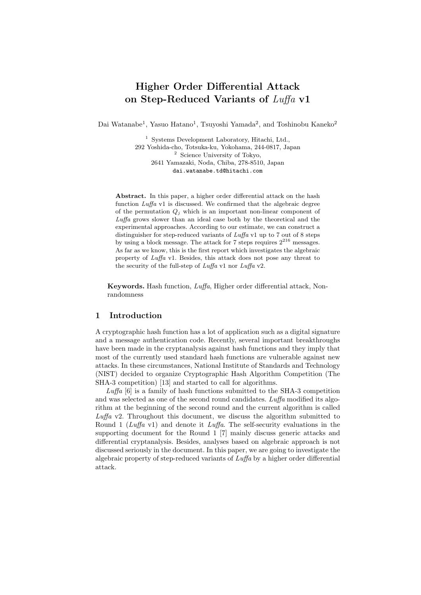# Higher Order Differential Attack on Step-Reduced Variants of Luffa v1

Dai Watanabe<sup>1</sup>, Yasuo Hatano<sup>1</sup>, Tsuyoshi Yamada<sup>2</sup>, and Toshinobu Kaneko<sup>2</sup>

<sup>1</sup> Systems Development Laboratory, Hitachi, Ltd., 292 Yoshida-cho, Totsuka-ku, Yokohama, 244-0817, Japan <sup>2</sup> Science University of Tokyo, 2641 Yamazaki, Noda, Chiba, 278-8510, Japan dai.watanabe.td@hitachi.com

Abstract. In this paper, a higher order differential attack on the hash function Luffa v1 is discussed. We confirmed that the algebraic degree of the permutation  $Q_j$  which is an important non-linear component of Luffa grows slower than an ideal case both by the theoretical and the experimental approaches. According to our estimate, we can construct a distinguisher for step-reduced variants of Luffa v1 up to 7 out of 8 steps by using a block message. The attack for 7 steps requires  $2^{216}$  messages. As far as we know, this is the first report which investigates the algebraic property of Luffa v1. Besides, this attack does not pose any threat to the security of the full-step of Luffa v1 nor Luffa v2.

Keywords. Hash function, Luffa, Higher order differential attack, Nonrandomness

# 1 Introduction

A cryptographic hash function has a lot of application such as a digital signature and a message authentication code. Recently, several important breakthroughs have been made in the cryptanalysis against hash functions and they imply that most of the currently used standard hash functions are vulnerable against new attacks. In these circumstances, National Institute of Standards and Technology (NIST) decided to organize Cryptographic Hash Algorithm Competition (The SHA-3 competition) [13] and started to call for algorithms.

 $Luffa$  [6] is a family of hash functions submitted to the SHA-3 competition and was selected as one of the second round candidates. Luffa modified its algorithm at the beginning of the second round and the current algorithm is called Luffa v2. Throughout this document, we discuss the algorithm submitted to Round 1 ( $Luffa$  v1) and denote it  $Luffa$ . The self-security evaluations in the supporting document for the Round 1 [7] mainly discuss generic attacks and differential cryptanalysis. Besides, analyses based on algebraic approach is not discussed seriously in the document. In this paper, we are going to investigate the algebraic property of step-reduced variants of Luffa by a higher order differential attack.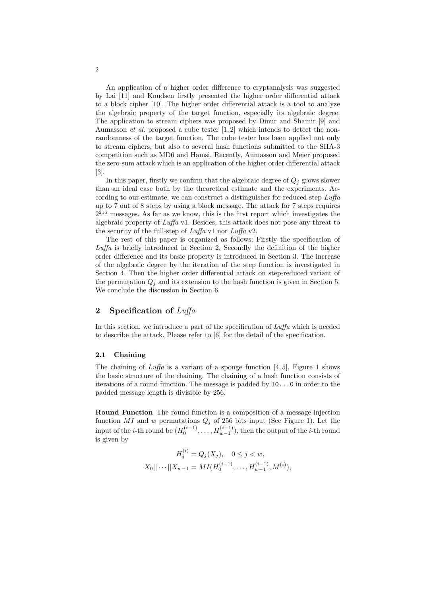An application of a higher order difference to cryptanalysis was suggested by Lai [11] and Knudsen firstly presented the higher order differential attack to a block cipher [10]. The higher order differential attack is a tool to analyze the algebraic property of the target function, especially its algebraic degree. The application to stream ciphers was proposed by Dinur and Shamir [9] and Aumasson et al. proposed a cube tester [1, 2] which intends to detect the nonrandomness of the target function. The cube tester has been applied not only to stream ciphers, but also to several hash functions submitted to the SHA-3 competition such as MD6 and Hamsi. Recently, Aumasson and Meier proposed the zero-sum attack which is an application of the higher order differential attack [3].

In this paper, firstly we confirm that the algebraic degree of  $Q_j$  grows slower than an ideal case both by the theoretical estimate and the experiments. According to our estimate, we can construct a distinguisher for reduced step Luffa up to 7 out of 8 steps by using a block message. The attack for 7 steps requires  $2^{216}$  messages. As far as we know, this is the first report which investigates the algebraic property of  $Luffa$  v1. Besides, this attack does not pose any threat to the security of the full-step of  $Luffa \, v1$  nor  $Luffa \, v2$ .

The rest of this paper is organized as follows: Firstly the specification of Luffa is briefly introduced in Section 2. Secondly the definition of the higher order difference and its basic property is introduced in Section 3. The increase of the algebraic degree by the iteration of the step function is investigated in Section 4. Then the higher order differential attack on step-reduced variant of the permutation  $Q_i$  and its extension to the hash function is given in Section 5. We conclude the discussion in Section 6.

# 2 Specification of  $Luffa$

In this section, we introduce a part of the specification of  $Luffa$  which is needed to describe the attack. Please refer to [6] for the detail of the specification.

#### 2.1 Chaining

The chaining of Luffa is a variant of a sponge function  $[4, 5]$ . Figure 1 shows the basic structure of the chaining. The chaining of a hash function consists of iterations of a round function. The message is padded by 10...0 in order to the padded message length is divisible by 256.

Round Function The round function is a composition of a message injection function MI and w permutations  $Q_i$  of 256 bits input (See Figure 1). Let the input of the *i*-th round be  $(H_0^{(i-1)},...,H_{w-1}^{(i-1)}),$  then the output of the *i*-th round is given by

$$
H_j^{(i)} = Q_j(X_j), \quad 0 \le j < w,
$$
  

$$
X_0 || \cdots || X_{w-1} = MI(H_0^{(i-1)}, \dots, H_{w-1}^{(i-1)}, M^{(i)}),
$$

2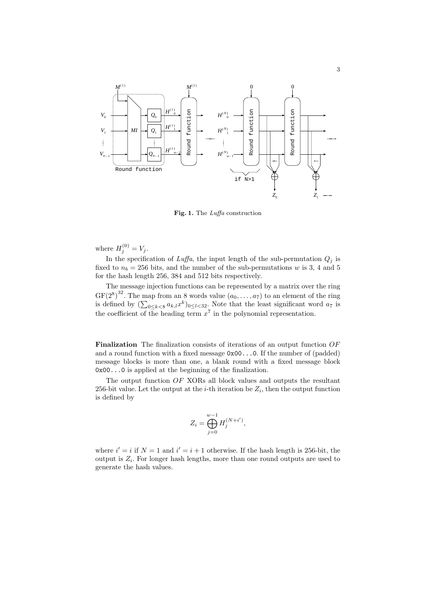

Fig. 1. The Luffa construction

where  $H_j^{(0)} = V_j$ .

In the specification of  $Luffa$ , the input length of the sub-permutation  $Q_i$  is fixed to  $n_b = 256$  bits, and the number of the sub-permutations w is 3, 4 and 5 for the hash length 256, 384 and 512 bits respectively.

The message injection functions can be represented by a matrix over the ring GF(2<sup>8</sup>)<sup>32</sup>. The map from an 8 words value  $(a_0, \ldots, a_7)$  to an element of the ring is defined by  $(\sum_{0 \le k < 8} a_{k,l} x^k)_{0 \le l < 32}$ . Note that the least significant word  $a_7$  is the coefficient of the heading term  $x^7$  in the polynomial representation.

Finalization The finalization consists of iterations of an output function OF and a round function with a fixed message 0x00...0. If the number of (padded) message blocks is more than one, a blank round with a fixed message block 0x00...0 is applied at the beginning of the finalization.

The output function OF XORs all block values and outputs the resultant 256-bit value. Let the output at the *i*-th iteration be  $Z_i$ , then the output function is defined by

$$
Z_i = \bigoplus_{j=0}^{w-1} H_j^{(N+i')},
$$

where  $i' = i$  if  $N = 1$  and  $i' = i + 1$  otherwise. If the hash length is 256-bit, the output is  $Z_i$ . For longer hash lengths, more than one round outputs are used to generate the hash values.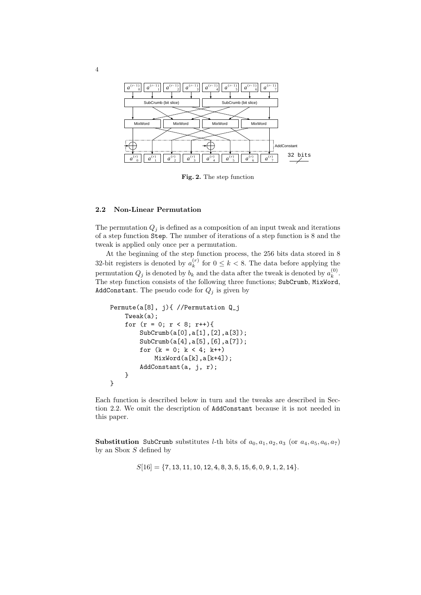

Fig. 2. The step function

#### 2.2 Non-Linear Permutation

The permutation  $Q_i$  is defined as a composition of an input tweak and iterations of a step function Step. The number of iterations of a step function is 8 and the tweak is applied only once per a permutation.

At the beginning of the step function process, the 256 bits data stored in 8 32-bit registers is denoted by  $a_k^{(r)}$  $\binom{r}{k}$  for  $0 \leq k < 8$ . The data before applying the permutation  $Q_j$  is denoted by  $b_k$  and the data after the tweak is denoted by  $a_k^{(0)}$  $\binom{0}{k}$ . The step function consists of the following three functions; SubCrumb, MixWord, AddConstant. The pseudo code for  $Q_j$  is given by

```
Permute(a[8], j){ //Permutation Q_j
    Tweak(a);
    for (r = 0; r < 8; r++){
        SubCrumb(a[0],a[1],[2],a[3]);
        SubCrumb(a[4],a[5],[6],a[7]);
        for (k = 0; k < 4; k++)MixWord(a[k],a[k+4]);
        AddConstant(a, j, r);
    }
}
```
Each function is described below in turn and the tweaks are described in Section 2.2. We omit the description of AddConstant because it is not needed in this paper.

Substitution SubCrumb substitutes *l*-th bits of  $a_0, a_1, a_2, a_3$  (or  $a_4, a_5, a_6, a_7$ ) by an Sbox  $S$  defined by

 $S[16] = \{7, 13, 11, 10, 12, 4, 8, 3, 5, 15, 6, 0, 9, 1, 2, 14\}.$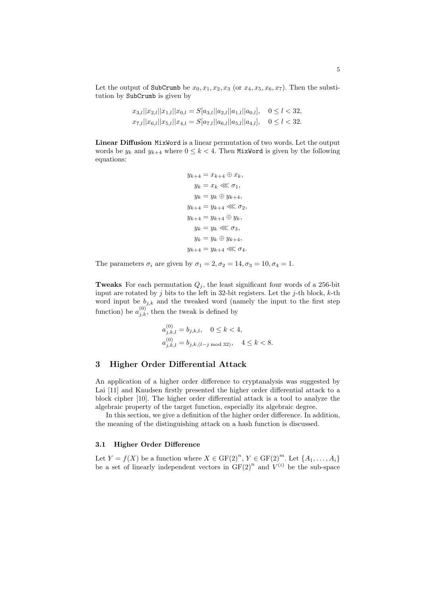Let the output of SubCrumb be  $x_0, x_1, x_2, x_3$  (or  $x_4, x_5, x_6, x_7$ ). Then the substitution by SubCrumb is given by

$$
x_{3,l}||x_{2,l}||x_{1,l}||x_{0,l} = S[a_{3,l}||a_{2,l}||a_{1,l}||a_{0,l}], \quad 0 \le l < 32,
$$
  
\n
$$
x_{7,l}||x_{6,l}||x_{5,l}||x_{4,l} = S[a_{7,l}||a_{6,l}||a_{5,l}||a_{4,l}], \quad 0 \le l < 32.
$$

Linear Diffusion MixWord is a linear permutation of two words. Let the output words be  $y_k$  and  $y_{k+4}$  where  $0 \leq k < 4$ . Then MixWord is given by the following equations:

$$
y_{k+4} = x_{k+4} \oplus x_k,
$$
  
\n
$$
y_k = x_k \lll \sigma_1,
$$
  
\n
$$
y_k = y_k \oplus y_{k+4},
$$
  
\n
$$
y_{k+4} = y_{k+4} \lll \sigma_2,
$$
  
\n
$$
y_{k+4} = y_{k+4} \oplus y_k,
$$
  
\n
$$
y_k = y_k \lll \sigma_3,
$$
  
\n
$$
y_k = y_k \oplus y_{k+4},
$$
  
\n
$$
y_{k+4} = y_{k+4} \lll \sigma_4.
$$

The parameters  $\sigma_i$  are given by  $\sigma_1 = 2, \sigma_2 = 14, \sigma_3 = 10, \sigma_4 = 1$ .

**Tweaks** For each permutation  $Q_i$ , the least significant four words of a 256-bit input are rotated by j bits to the left in 32-bit registers. Let the j-th block,  $k$ -th word input be  $b_{j,k}$  and the tweaked word (namely the input to the first step function) be  $a_{j,k}^{(0)}$ , then the tweak is defined by

$$
a_{j,k,l}^{(0)} = b_{j,k,l}, \quad 0 \le k < 4,
$$
  
\n
$$
a_{j,k,l}^{(0)} = b_{j,k,(l-j \mod 32)}, \quad 4 \le k < 8.
$$

## 3 Higher Order Differential Attack

An application of a higher order difference to cryptanalysis was suggested by Lai [11] and Knudsen firstly presented the higher order differential attack to a block cipher [10]. The higher order differential attack is a tool to analyze the algebraic property of the target function, especially its algebraic degree.

In this section, we give a definition of the higher order difference. In addition, the meaning of the distinguishing attack on a hash function is discussed.

### 3.1 Higher Order Difference

Let  $Y = f(X)$  be a function where  $X \in \mathrm{GF}(2)^n$ ,  $Y \in \mathrm{GF}(2)^m$ . Let  $\{A_1, \ldots, A_i\}$ be a set of linearly independent vectors in  $GF(2)^n$  and  $V^{(i)}$  be the sub-space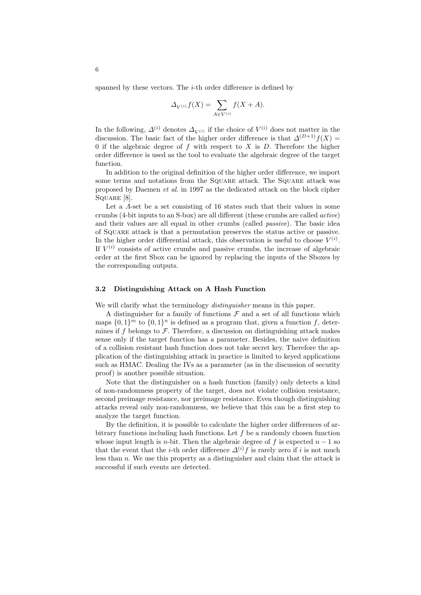spanned by these vectors. The  $i$ -th order difference is defined by

$$
\Delta_{V^{(i)}} f(X) = \sum_{A \in V^{(i)}} f(X + A).
$$

In the following,  $\Delta^{(i)}$  denotes  $\Delta_{V^{(i)}}$  if the choice of  $V^{(i)}$  does not matter in the discussion. The basic fact of the higher order difference is that  $\Delta^{(D+1)}f(X) =$ 0 if the algebraic degree of f with respect to X is  $D$ . Therefore the higher order difference is used as the tool to evaluate the algebraic degree of the target function.

In addition to the original definition of the higher order difference, we import some terms and notations from the Square attack. The Square attack was proposed by Daemen et al. in 1997 as the dedicated attack on the block cipher SQUARE [8].

Let a  $\Lambda$ -set be a set consisting of 16 states such that their values in some crumbs (4-bit inputs to an S-box) are all different (these crumbs are called active) and their values are all equal in other crumbs (called *passive*). The basic idea of Square attack is that a permutation preserves the status active or passive. In the higher order differential attack, this observation is useful to choose  $V^{(i)}$ . If  $V^{(i)}$  consists of active crumbs and passive crumbs, the increase of algebraic order at the first Sbox can be ignored by replacing the inputs of the Sboxes by the corresponding outputs.

#### 3.2 Distinguishing Attack on A Hash Function

We will clarify what the terminology *distinguisher* means in this paper.

A distinguisher for a family of functions  $\mathcal F$  and a set of all functions which maps  $\{0,1\}^m$  to  $\{0,1\}^n$  is defined as a program that, given a function f, determines if f belongs to  $\mathcal F$ . Therefore, a discussion on distinguishing attack makes sense only if the target function has a parameter. Besides, the naive definition of a collision resistant hash function does not take secret key. Therefore the application of the distinguishing attack in practice is limited to keyed applications such as HMAC. Dealing the IVs as a parameter (as in the discussion of security proof) is another possible situation.

Note that the distinguisher on a hash function (family) only detects a kind of non-randomness property of the target, does not violate collision resistance, second preimage resistance, nor preimage resistance. Even though distinguishing attacks reveal only non-randomness, we believe that this can be a first step to analyze the target function.

By the definition, it is possible to calculate the higher order differences of arbitrary functions including hash functions. Let  $f$  be a randomly chosen function whose input length is *n*-bit. Then the algebraic degree of f is expected  $n-1$  so that the event that the *i*-th order difference  $\Delta^{(i)} f$  is rarely zero if i is not much less than n. We use this property as a distinguisher and claim that the attack is successful if such events are detected.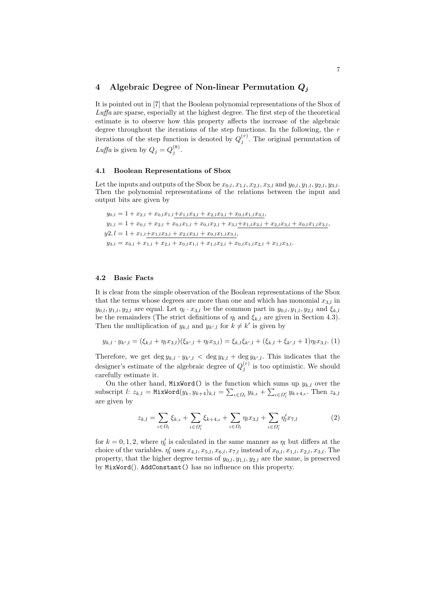# 4 Algebraic Degree of Non-linear Permutation  $Q_i$

It is pointed out in [7] that the Boolean polynomial representations of the Sbox of Luffa are sparse, especially at the highest degree. The first step of the theoretical estimate is to observe how this property affects the increase of the algebraic degree throughout the iterations of the step functions. In the following, the  $r$ iterations of the step function is denoted by  $Q_j^{(r)}$ . The original permutation of Luffa is given by  $Q_j = Q_j^{(8)}$ .

#### 4.1 Boolean Representations of Sbox

Let the inputs and outputs of the Sbox be  $x_{0,l}, x_{1,l}, x_{2,l}, x_{3,l}$  and  $y_{0,l}, y_{1,l}, y_{2,l}, y_{3,l}$ . Then the polynomial representations of the relations between the input and output bits are given by

$$
y_{0,l} = 1 + x_{2,l} + x_{0,l}x_{1,l} + x_{1,l}x_{3,l} + x_{2,l}x_{3,l} + x_{0,l}x_{1,l}x_{3,l},
$$
  
\n
$$
y_{1,l} = 1 + x_{0,l} + x_{2,l} + x_{0,l}x_{1,l} + x_{0,l}x_{2,l} + x_{3,l} + x_{1,l}x_{3,l} + x_{2,l}x_{3,l} + x_{0,l}x_{1,l}x_{3,l},
$$
  
\n
$$
y_{2,l} = 1 + x_{1,l} + x_{1,l}x_{3,l} + x_{2,l}x_{3,l} + x_{0,l}x_{1,l}x_{3,l},
$$
  
\n
$$
y_{3,l} = x_{0,l} + x_{1,l} + x_{2,l} + x_{0,l}x_{1,l} + x_{1,l}x_{2,l} + x_{0,l}x_{1,l}x_{2,l} + x_{1,l}x_{3,l}.
$$

### 4.2 Basic Facts

It is clear from the simple observation of the Boolean representations of the Sbox that the terms whose degrees are more than one and which has monomial  $x_{3,l}$  in  $y_{0,l}, y_{1,l}, y_{2,l}$  are equal. Let  $\eta_l \cdot x_{3,l}$  be the common part in  $y_{0,l}, y_{1,l}, y_{2,l}$  and  $\xi_{k,l}$ be the remainders (The strict definitions of  $\eta_l$  and  $\xi_{k,l}$  are given in Section 4.3). Then the multiplication of  $y_{k,l}$  and  $y_{k',l}$  for  $k \neq k'$  is given by

$$
y_{k,l} \cdot y_{k',l} = (\xi_{k,l} + \eta_l x_{3,l})(\xi_{k',l} + \eta_l x_{3,l}) = \xi_{k,l}\xi_{k',l} + (\xi_{k,l} + \xi_{k',l} + 1)\eta_l x_{3,l}. (1)
$$

Therefore, we get  $\deg y_{k,l} \cdot y_{k',l} < \deg y_{k,l} + \deg y_{k',l}$ . This indicates that the designer's estimate of the algebraic degree of  $Q_j^{(r)}$  is too optimistic. We should carefully estimate it.

On the other hand, MixWord() is the function which sums up  $y_{k,l}$  over the subscript l:  $z_{k,l} =$  MixWord $(y_k, y_{k+4})_{k,l} = \sum_{\iota \in \Omega_l} y_{k,\iota} + \sum_{\iota \in \Omega_l'} y_{k+4,\iota}$ . Then  $z_{k,l}$ are given by

$$
z_{k,l} = \sum_{\iota \in \Omega_l} \xi_{k,\iota} + \sum_{\iota \in \Omega_l'} \xi_{k+4,\iota} + \sum_{\iota \in \Omega_l} \eta_l x_{3,l} + \sum_{\iota \in \Omega_l'} \eta_l' x_{7,l} \tag{2}
$$

for  $k = 0, 1, 2$ , where  $\eta'_{l}$  is calculated in the same manner as  $\eta_{l}$  but differs at the choice of the variables.  $\eta'_l$  uses  $x_{4,l}, x_{5,l}, x_{6,l}, x_{7,l}$  instead of  $x_{0,l}, x_{1,l}, x_{2,l}, x_{3,l}$ . The property, that the higher degree terms of  $y_{0,l}, y_{1,l}, y_{2,l}$  are the same, is preserved by MixWord(). AddConstant() has no influence on this property.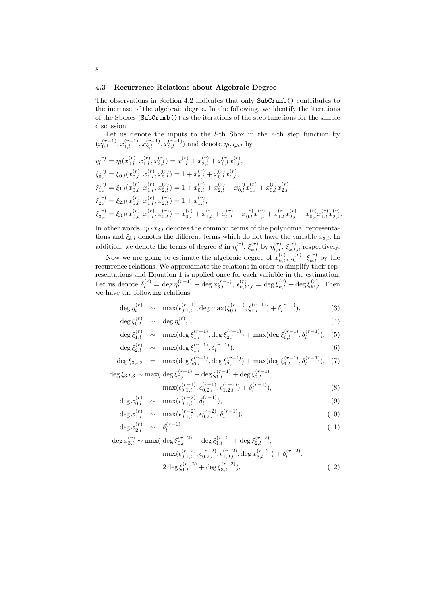#### 4.3 Recurrence Relations about Algebraic Degree

The observations in Section 4.2 indicates that only SubCrumb() contributes to the increase of the algebraic degree. In the following, we identify the iterations of the Sboxes (SubCrumb()) as the iterations of the step functions for the simple discussion.

Let us denote the inputs to the  $l$ -th Sbox in the  $r$ -th step function by  $(x_{0,l}^{(r-1)}, x_{1,l}^{(r-1)}, x_{2,l}^{(r-1)}, x_{3,l}^{(r-1)})$  and denote  $\eta_l, \xi_{k,l}$  by

$$
\begin{split}\n\eta_l^{(r)} &= \eta_l(x_{0,l}^{(r)}, x_{1,l}^{(r)}, x_{2,l}^{(r)}) = x_{1,l}^{(r)} + x_{2,l}^{(r)} + x_{0,l}^{(r)} x_{1,l}^{(r)}, \\
\xi_{0,l}^{(r)} &= \xi_{0,l}(x_{0,l}^{(r)}, x_{1,l}^{(r)}, x_{2,l}^{(r)}) = 1 + x_{2,l}^{(r)} + x_{0,l}^{(r)} x_{1,l}^{(r)}, \\
\xi_{1,l}^{(r)} &= \xi_{1,l}(x_{0,l}^{(r)}, x_{1,l}^{(r)}, x_{2,l}^{(r)}) = 1 + x_{0,l}^{(r)} + x_{2,l}^{(r)} + x_{0,l}^{(r)} x_{1,l}^{(r)} + x_{0,l}^{(r)} x_{2,l}^{(r)}, \\
\xi_{2,l}^{(r)} &= \xi_{2,l}(x_{0,l}^{(r)}, x_{1,l}^{(r)}, x_{2,l}^{(r)}) = 1 + x_{1,l}^{(r)}, \\
\xi_{3,l}^{(r)} &= \xi_{3,l}(x_{0,l}^{(r)}, x_{1,l}^{(r)}, x_{2,l}^{(r)}) = x_{0,l}^{(r)} + x_{1,l}^{(r)} + x_{2,l}^{(r)} + x_{0,l}^{(r)} x_{1,l}^{(r)} + x_{1,l}^{(r)} x_{2,l}^{(r)} + x_{0,l}^{(r)} x_{1,l}^{(r)} x_{2,l}^{(r)}.\n\end{split}
$$

In other words,  $\eta_l \cdot x_{3,l}$  denotes the common terms of the polynomial representations and  $\xi_{k,l}$  denotes the different terms which do not have the variable  $x_{3,l}$ . In addition, we denote the terms of degree d in  $\eta_l^{(r)}$  $\mathcal{L}_{l}^{(r)}$ ,  $\xi_{k,l}^{(r)}$  by  $\eta_{l,d}^{(r)}$ ,  $\xi_{k,l,d}^{(r)}$  respectively.

Now we are going to estimate the algebraic degree of  $x_{k,l}^{(r)}$ ,  $\eta_l^{(r)}$  $\mathcal{E}_l^{(r)}$ ,  $\xi_{k,l}^{(r)}$  by the recurrence relations. We approximate the relations in order to simplify their representations and Equation 1 is applied once for each variable in the estimation. Let us denote  $\delta_l^{(r)} = \deg \eta_l^{(r-1)} + \deg x_{3,l}^{(r-1)}$ ,  $\epsilon_{k,k',l}^{(r)} = \deg \xi_{k,l}^{(r)} + \deg \xi_{k',l}^{(r)}$ . Then we have the following relations:

$$
\deg \eta_l^{(r)} \sim \max(\epsilon_{0,1,l}^{(r-1)}, \deg \max(\xi_{0,l}^{(r-1)}, \xi_{1,l}^{(r-1)}) + \delta_l^{(r-1)}), \tag{3}
$$

$$
\deg \xi_{0,l}^{(r)} \sim \deg \eta_l^{(r)},\tag{4}
$$

$$
\deg \xi_{1,l}^{(r)} \sim \max(\deg \xi_{1,l}^{(r-1)}, \deg \xi_{2,l}^{(r-1)}) + \max(\deg \xi_{0,l}^{(r-1)}, \delta_l^{(r-1)}), \tag{5}
$$

$$
\deg \xi_{2,l}^{(r)} \sim \max(\deg \xi_{1,l}^{(r-1)}, \delta_l^{(r-1)}), \tag{6}
$$

$$
\deg \xi_{3,l,2} = \max(\deg \xi_{0,l}^{(r-1)}, \deg \xi_{2,l}^{(r-1)}) + \max(\deg \xi_{1,l}^{(r-1)}, \delta_{l}^{(r-1)}), \tag{7}
$$

 $\deg \xi_{3,l,3} \sim \max(\deg \xi_{0,l}^{(r-1)} + \deg \xi_{1,l}^{(r-1)} + \deg \xi_{2,l}^{(r-1)},$ 

$$
\max(\epsilon_{0,1,l}^{(r-1)}, \epsilon_{0,2,l}^{(r-1)}, \epsilon_{1,2,l}^{(r-1)}) + \delta_l^{(r-1)}),\tag{8}
$$

$$
\deg x_{0,l}^{(r)} \sim \max(\epsilon_{0,1,l}^{(r-2)}, \delta_l^{(r-1)}),\tag{9}
$$

$$
\deg x_{1,l}^{(r)} \sim \max(\epsilon_{0,1,l}^{(r-2)}, \epsilon_{0,2,l}^{(r-2)}, \delta_l^{(r-1)}), \tag{10}
$$

$$
\deg x_{2,l}^{(r)} \sim \delta_l^{(r-1)},\tag{11}
$$

$$
\deg x_{3,l}^{(r)} \sim \max(\deg \xi_{0,l}^{(r-2)} + \deg \xi_{1,l}^{(r-2)} + \deg \xi_{2,l}^{(r-2)},
$$
  
\n
$$
\max(\epsilon_{0,1,l}^{(r-2)}, \epsilon_{0,2,l}^{(r-2)}, \epsilon_{1,2,l}^{(r-2)}, \deg x_{3,l}^{(r-2)}) + \delta_{l}^{(r-2)},
$$
  
\n
$$
2 \deg \xi_{1,l}^{(r-2)} + \deg \xi_{3,l}^{(r-2)}.
$$
\n(12)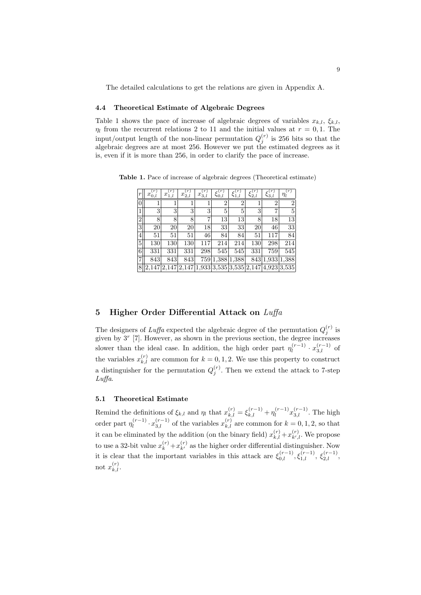The detailed calculations to get the relations are given in Appendix A.

# 4.4 Theoretical Estimate of Algebraic Degrees

Table 1 shows the pace of increase of algebraic degrees of variables  $x_k$ ,  $\xi_k$ ,  $\eta_l$  from the recurrent relations 2 to 11 and the initial values at  $r = 0, 1$ . The input/output length of the non-linear permutation  $Q_j^{(r)}$  is 256 bits so that the algebraic degrees are at most 256. However we put the estimated degrees as it is, even if it is more than 256, in order to clarify the pace of increase.

| $\boldsymbol{r}$ | $\boldsymbol{r}$<br>$\boldsymbol{x}$<br>0.l | (r)<br>$\boldsymbol{x}$ | r<br>$x_{2,l}$ | $x_{3,l}$ | $\overline{50}$ |                | 52.l | $\varsigma_{3,l}$                                       | (r)<br>$\eta_l$ |
|------------------|---------------------------------------------|-------------------------|----------------|-----------|-----------------|----------------|------|---------------------------------------------------------|-----------------|
| $\overline{0}$   |                                             |                         | 1              | 1         | $\overline{2}$  | $\overline{2}$ | 1    | $\overline{2}$                                          | $\overline{2}$  |
| $\mathbf{1}$     | 3                                           | 3                       | 3              | 3         | 5               | 5              | 3    | $\overline{7}$                                          | 5               |
| $\overline{2}$   | 8                                           | 8                       | 8              | 7         | 13              | 13             | 8    | 18                                                      | 13              |
| 3                | 20                                          | 20                      | 20             | 18        | 33              | 33             | 20   | 46                                                      | 33              |
| 4                | 51                                          | 51                      | 51             | 46        | 84              | 84             | 51   | 117                                                     | 84              |
| 5                | 130                                         | 130                     | 130            | 117       | 214             | 214            | 130  | 298                                                     | 214             |
| 6                | 331                                         | 331                     | 331            | 298       | 545             | 545            | 331  | 759                                                     | 545             |
| $\overline{7}$   | 843                                         | 843                     | 843            |           | 759 1,388 1,388 |                |      | 843 1,933 1,388                                         |                 |
| 8                |                                             |                         |                |           |                 |                |      | $2,147 2,147 2,147 1,933 3,535 3,535 2,147 4,923 3,535$ |                 |

Table 1. Pace of increase of algebraic degrees (Theoretical estimate)

# 5 Higher Order Differential Attack on  $Lu\ddot{f}a$

The designers of Luffa expected the algebraic degree of the permutation  $Q_j^{(r)}$  is given by  $3^r$  [7]. However, as shown in the previous section, the degree increases slower than the ideal case. In addition, the high order part  $\eta_l^{(r-1)}$  $\frac{(r-1)}{l} \cdot x_{3,l}^{(r-1)}$  of the variables  $x_{k,l}^{(r)}$  are common for  $k = 0, 1, 2$ . We use this property to construct a distinguisher for the permutation  $Q_j^{(r)}$ . Then we extend the attack to 7-step Luffa.

### 5.1 Theoretical Estimate

Remind the definitions of  $\xi_{k,l}$  and  $\eta_l$  that  $x_{k,l}^{(r)} = \xi_{k,l}^{(r-1)} + \eta_l^{(r-1)}$  $\int_{l}^{(r-1)} x_{3,l}^{(r-1)}$ . The high order part  $\eta_l^{(r-1)}$  $\chi_l^{(r-1)} \cdot x_{3,l}^{(r-1)}$  of the variables  $x_{k,l}^{(r)}$  are common for  $k = 0, 1, 2$ , so that it can be eliminated by the addition (on the binary field)  $x_{k,l}^{(r)} + x_{k',l}^{(r)}$ . We propose to use a 32-bit value  $x_k^{(r)} + x_{k'}^{(r)}$  as the higher order differential distinguisher. Now it is clear that the important variables in this attack are  $\xi_{0,l}^{(r-1)}, \xi_{1,l}^{(r-1)}, \xi_{2,l}^{(r-1)}$ , not  $x_{k,l}^{(r)}$ .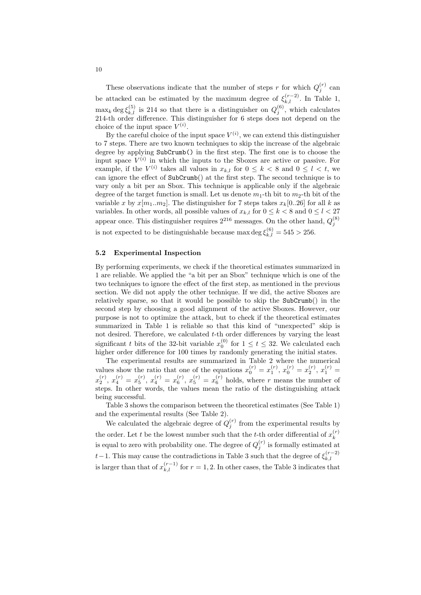These observations indicate that the number of steps r for which  $Q_j^{(r)}$  can be attacked can be estimated by the maximum degree of  $\xi_{k,l}^{(r-2)}$ . In Table 1,  $\max_k \deg \xi_{k,l}^{(5)}$  is 214 so that there is a distinguisher on  $Q_j^{(6)}$ , which calculates 214-th order difference. This distinguisher for 6 steps does not depend on the choice of the input space  $V^{(i)}$ .

By the careful choice of the input space  $V^{(i)}$ , we can extend this distinguisher to 7 steps. There are two known techniques to skip the increase of the algebraic degree by applying SubCrumb() in the first step. The first one is to choose the input space  $V^{(i)}$  in which the inputs to the Sboxes are active or passive. For example, if the  $V^{(i)}$  takes all values in  $x_{k,l}$  for  $0 \leq k < 8$  and  $0 \leq l < t$ , we can ignore the effect of SubCrumb() at the first step. The second technique is to vary only a bit per an Sbox. This technique is applicable only if the algebraic degree of the target function is small. Let us denote  $m_1$ -th bit to  $m_2$ -th bit of the variable x by  $x[m_1..m_2]$ . The distinguisher for 7 steps takes  $x_k[0..26]$  for all k as variables. In other words, all possible values of  $x_{k,l}$  for  $0 \leq k < 8$  and  $0 \leq l < 27$ appear once. This distinguisher requires  $2^{216}$  messages. On the other hand,  $Q_j^{(8)}$ is not expected to be distinguishable because  $\max \deg \xi_{k,l}^{(6)} = 545 > 256$ .

#### 5.2 Experimental Inspection

By performing experiments, we check if the theoretical estimates summarized in 1 are reliable. We applied the "a bit per an Sbox" technique which is one of the two techniques to ignore the effect of the first step, as mentioned in the previous section. We did not apply the other technique. If we did, the active Sboxes are relatively sparse, so that it would be possible to skip the SubCrumb() in the second step by choosing a good alignment of the active Sboxes. However, our purpose is not to optimize the attack, but to check if the theoretical estimates summarized in Table 1 is reliable so that this kind of "unexpected" skip is not desired. Therefore, we calculated  $t$ -th order differences by varying the least significant t bits of the 32-bit variable  $x_0^{(0)}$  for  $1 \le t \le 32$ . We calculated each higher order difference for 100 times by randomly generating the initial states.

The experimental results are summarized in Table 2 where the numerical values show the ratio that one of the equations  $x_0^{(r)} = x_1^{(r)}$ ,  $x_0^{(r)} = x_2^{(r)}$ ,  $x_1^{(r)} =$  $x_2^{(r)}$ ,  $x_4^{(r)} = x_5^{(r)}$ ,  $x_4^{(r)} = x_6^{(r)}$ ,  $x_5^{(r)} = x_6^{(r)}$  holds, where r means the number of steps. In other words, the values mean the ratio of the distinguishing attack being successful.

Table 3 shows the comparison between the theoretical estimates (See Table 1) and the experimental results (See Table 2).

We calculated the algebraic degree of  $Q_j^{(r)}$  from the experimental results by the order. Let t be the lowest number such that the t-th order differential of  $x_k^{(r)}$ k is equal to zero with probability one. The degree of  $Q_j^{(r)}$  is formally estimated at t – 1. This may cause the contradictions in Table 3 such that the degree of  $\xi_{k,l}^{(r-2)}$  $_{k,l}$ is larger than that of  $x_{k,l}^{(r-1)}$  for  $r = 1, 2$ . In other cases, the Table 3 indicates that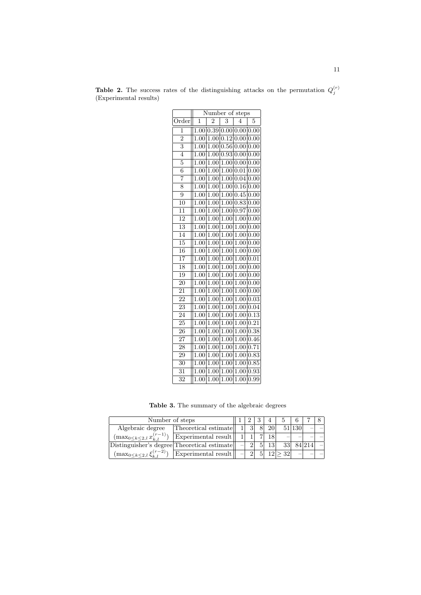|                           | Number of steps   |                                              |                   |                   |                   |  |  |  |  |
|---------------------------|-------------------|----------------------------------------------|-------------------|-------------------|-------------------|--|--|--|--|
| Order                     | 1                 | $\overline{2}$                               | 3                 | $\overline{4}$    | 5                 |  |  |  |  |
| 1                         | 1.00              | $\boxed{0.39 \mid 0.00 \mid 0.00 \mid 0.00}$ |                   |                   |                   |  |  |  |  |
| $\overline{2}$            | 1.00              | 1.00                                         | $\overline{0.12}$ | 0.00              | 0.00              |  |  |  |  |
| $\overline{\overline{3}}$ | 1.00              | 1.00                                         | 0.56              | 0.00              | 0.00              |  |  |  |  |
| $\overline{4}$            | $1.00\,$          | $\overline{1.00}$                            | $\overline{0}.93$ | 0.00              | 0.00              |  |  |  |  |
| $\overline{5}$            | 1.00              | 1.00                                         | $\overline{1.00}$ | 0.00              | 0.00              |  |  |  |  |
| $\overline{6}$            | 1.00              | 1.00                                         | 1.00              | 0.01              | 0.00              |  |  |  |  |
| 7                         | 1.00              | 1.00                                         | 1.00              | 0.04              | 0.00              |  |  |  |  |
| 8                         | 1.00              | 1.00                                         | 1.00              | 0.16              | 0.00              |  |  |  |  |
| 9                         | 1.00              | $1.\overline{00}$                            | 1.00              | 0.45              | 0.00              |  |  |  |  |
| 10                        | 1.00              | 1.00                                         | 1.00              | 0.83              | 0.00              |  |  |  |  |
| 11                        | 1.00              | 1.00                                         | 1.00              | 0.97              | 0.00              |  |  |  |  |
| $\overline{12}$           | 1.00              | 1.00                                         | 1.00              | 1.00              | 0.00              |  |  |  |  |
| $\overline{13}$           | 1.00              | 1.00                                         | 1.00              | $\overline{1}.00$ | $\overline{0.00}$ |  |  |  |  |
| 14                        | 1.00              | 1.00                                         | 1.00              | 1.00              | 0.00              |  |  |  |  |
| 15                        | 1.00              | 1.00                                         | 1.00              | $1.\overline{00}$ | 0.00              |  |  |  |  |
| 16                        | 1.00              | 1.00                                         | 1.00              | 1.00              | 0.00              |  |  |  |  |
| $\overline{17}$           | 1.00              | 1.00                                         | 1.00              | 1.00              | 0.01              |  |  |  |  |
| 18                        | 1.00              | 1.00                                         | 1.00              | 1.00              | 0.00              |  |  |  |  |
| 19                        | 1.00              | 1.00                                         | 1.00              | 1.00              | 0.00              |  |  |  |  |
| 20                        | $1.\overline{00}$ | 1.00                                         | 1.00              | 1.00              | 0.00              |  |  |  |  |
| 21                        | 1.00              | $1.\overline{00}$                            | 1.00              | 1.00              | 0.00              |  |  |  |  |
| $\overline{22}$           | 1.00              | 1.00                                         | 1.00              | 1.00              | 0.03              |  |  |  |  |
| $\overline{2}3$           | 1.00              | 1.00                                         | 1.00              | 1.00              | $\overline{0.04}$ |  |  |  |  |
| $\overline{24}$           | 1.00              | $\overline{1}$ .00                           | 1.00              | 1.00              | 0.13              |  |  |  |  |
| 25                        | 1.00              | 1.00                                         | 1.00              | 1.00              | 0.21              |  |  |  |  |
| 26                        | $1.\overline{00}$ | $1.\overline{00}$                            | 1.00              | 1.00              | 0.38              |  |  |  |  |
| $\overline{27}$           | 1.00              | 1.00                                         | $1.0\overline{0}$ | $1.0\overline{0}$ | 0.46              |  |  |  |  |
| 28                        | $1.00\,$          | 1.00                                         | $1.00\,$          | 1.00              | 0.71              |  |  |  |  |
| $\overline{29}$           | 1.00              | 1.00                                         | 1.00              | 1.00              | 0.83              |  |  |  |  |
| $\overline{30}$           | 1.00              | 1.00                                         | $1.\overline{00}$ | 1.00              | 0.85              |  |  |  |  |
| $\overline{31}$           | 1.00              | 1.00                                         | 1.00              | 1.00              | 0.93              |  |  |  |  |
| 32                        | 1.00              | 1.00                                         | 1.00              | 1.00              | 0.99              |  |  |  |  |

**Table 2.** The success rates of the distinguishing attacks on the permutation  $Q_j^{(r)}$ (Experimental results)

Table 3. The summary of the algebraic degrees

| Number of steps                               |                      |  |  |    |                 |        |        |  |
|-----------------------------------------------|----------------------|--|--|----|-----------------|--------|--------|--|
| Algebraic degree                              | Theoretical estimate |  |  | 20 |                 | 51 130 |        |  |
| $(\max_{0 \leq k \leq 2, l} x_{k,l}^{(r-1)})$ | Experimental result  |  |  |    |                 |        |        |  |
| Distinguisher's degree Theoretical estimate   |                      |  |  |    | 33              |        | 84 214 |  |
| $(\max_{0 \leq k \leq 2, l} \xi_{k,l}^{(r)}$  | Experimental result  |  |  |    | 32 <sub>1</sub> |        |        |  |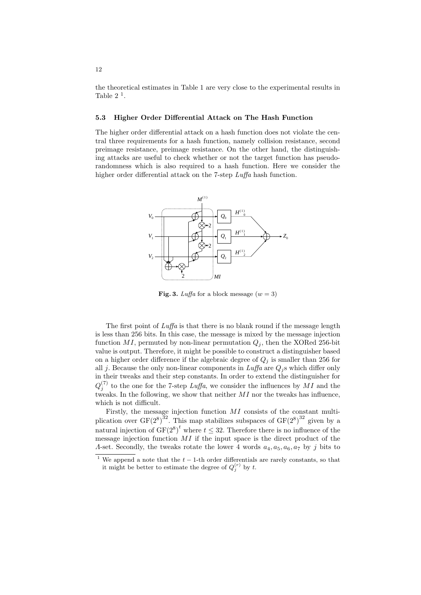the theoretical estimates in Table 1 are very close to the experimental results in Table  $2<sup>1</sup>$ .

#### 5.3 Higher Order Differential Attack on The Hash Function

The higher order differential attack on a hash function does not violate the central three requirements for a hash function, namely collision resistance, second preimage resistance, preimage resistance. On the other hand, the distinguishing attacks are useful to check whether or not the target function has pseudorandomness which is also required to a hash function. Here we consider the higher order differential attack on the 7-step  $Luffa$  hash function.



Fig. 3. Luffa for a block message  $(w = 3)$ 

The first point of *Luffa* is that there is no blank round if the message length is less than 256 bits. In this case, the message is mixed by the message injection function MI, permuted by non-linear permutation  $Q_i$ , then the XORed 256-bit value is output. Therefore, it might be possible to construct a distinguisher based on a higher order difference if the algebraic degree of  $Q_i$  is smaller than 256 for all j. Because the only non-linear components in  $Luffa$  are  $Q_j$ s which differ only in their tweaks and their step constants. In order to extend the distinguisher for  $Q_j^{(7)}$  to the one for the 7-step Luffa, we consider the influences by MI and the tweaks. In the following, we show that neither  $MI$  nor the tweaks has influence, which is not difficult.

Firstly, the message injection function MI consists of the constant multiplication over  $GF(2^8)^{32}$ . This map stabilizes subspaces of  $GF(2^8)^{32}$  given by a natural injection of  $GF(2^8)^t$  where  $t \leq 32$ . Therefore there is no influence of the message injection function  $MI$  if the input space is the direct product of the A-set. Secondly, the tweaks rotate the lower 4 words  $a_4, a_5, a_6, a_7$  by j bits to

We append a note that the  $t - 1$ -th order differentials are rarely constants, so that it might be better to estimate the degree of  $Q_j^{(r)}$  by t.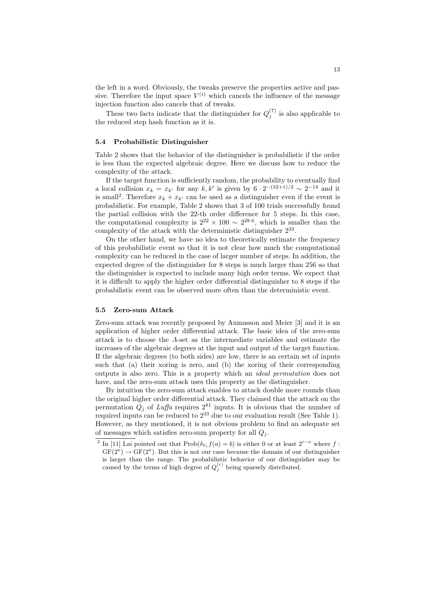the left in a word. Obviously, the tweaks preserve the properties active and passive. Therefore the input space  $V^{(i)}$  which cancels the influence of the message injection function also cancels that of tweaks.

These two facts indicate that the distinguisher for  $Q_j^{(7)}$  is also applicable to the reduced step hash function as it is.

#### 5.4 Probabilistic Distinguisher

Table 2 shows that the behavior of the distinguisher is probabilistic if the order is less than the expected algebraic degree. Here we discuss how to reduce the complexity of the attack.

If the target function is sufficiently random, the probability to eventually find a local collision  $x_k = x_{k'}$  for any  $k, k'$  is given by  $6 \cdot 2^{-(32+1)/2} \sim 2^{-14}$  and it is small<sup>2</sup>. Therefore  $x_k + x_{k'}$  can be used as a distinguisher even if the event is probabilistic. For example, Table 2 shows that 3 of 100 trials successfully found the partial collision with the 22-th order difference for 5 steps. In this case, the computational complexity is  $2^{22} \times 100 \sim 2^{28.6}$ , which is smaller than the complexity of the attack with the deterministic distinguisher  $2^{33}$ .

On the other hand, we have no idea to theoretically estimate the frequency of this probabilistic event so that it is not clear how much the computational complexity can be reduced in the case of larger number of steps. In addition, the expected degree of the distinguisher for 8 steps is much larger than 256 so that the distinguisher is expected to include many high order terms. We expect that it is difficult to apply the higher order differential distinguisher to 8 steps if the probabilistic event can be observed more often than the deterministic event.

#### 5.5 Zero-sum Attack

Zero-sum attack was recently proposed by Aumasson and Meier [3] and it is an application of higher order differential attack. The basic idea of the zero-sum attack is to choose the Λ-set as the intermediate variables and estimate the increases of the algebraic degrees at the input and output of the target function. If the algebraic degrees (to both sides) are low, there is an certain set of inputs such that (a) their xoring is zero, and (b) the xoring of their corresponding outputs is also zero. This is a property which an ideal permutation does not have, and the zero-sum attack uses this property as the distinguisher.

By intuition the zero-sum attack enables to attack double more rounds than the original higher order differential attack. They claimed that the attack on the permutation  $Q_j$  of Luffa requires  $2^{81}$  inputs. It is obvious that the number of required inputs can be reduced to  $2^{33}$  due to our evaluation result (See Table 1). However, as they mentioned, it is not obvious problem to find an adequate set of messages which satisfies zero-sum property for all  $Q_i$ .

<sup>&</sup>lt;sup>2</sup> In [11] Lai pointed out that  $\text{Prob}(\delta_{V_i} f(a) = b)$  is either 0 or at least  $2^{i-n}$  where f:  $GF(2^n) \rightarrow GF(2^n)$ . But this is not our case because the domain of our distinguisher is larger than the range. The probabilistic behavior of our distinguisher may be caused by the terms of high degree of  $Q_j^{(r)}$  being sparsely distributed.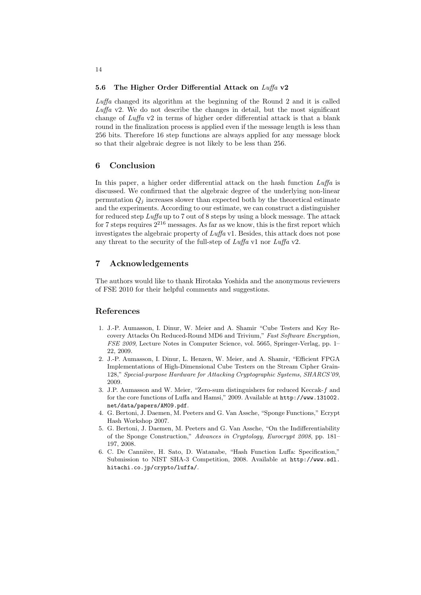#### 5.6 The Higher Order Differential Attack on  $Luffa$  v2

Luffa changed its algorithm at the beginning of the Round 2 and it is called Luffa v2. We do not describe the changes in detail, but the most significant change of Luffa v2 in terms of higher order differential attack is that a blank round in the finalization process is applied even if the message length is less than 256 bits. Therefore 16 step functions are always applied for any message block so that their algebraic degree is not likely to be less than 256.

# 6 Conclusion

In this paper, a higher order differential attack on the hash function  $Lu\mathit{fa}$  is discussed. We confirmed that the algebraic degree of the underlying non-linear permutation  $Q_i$  increases slower than expected both by the theoretical estimate and the experiments. According to our estimate, we can construct a distinguisher for reduced step Luffa up to 7 out of 8 steps by using a block message. The attack for 7 steps requires  $2^{216}$  messages. As far as we know, this is the first report which investigates the algebraic property of Luffa v1. Besides, this attack does not pose any threat to the security of the full-step of  $Luffa$  v1 nor  $Luffa$  v2.

# 7 Acknowledgements

The authors would like to thank Hirotaka Yoshida and the anonymous reviewers of FSE 2010 for their helpful comments and suggestions.

# References

- 1. J.-P. Aumasson, I. Dinur, W. Meier and A. Shamir "Cube Testers and Key Recovery Attacks On Reduced-Round MD6 and Trivium," Fast Software Encryption, FSE 2009, Lecture Notes in Computer Science, vol. 5665, Springer-Verlag, pp. 1– 22, 2009.
- 2. J.-P. Aumasson, I. Dinur, L. Henzen, W. Meier, and A. Shamir, "Efficient FPGA Implementations of High-Dimensional Cube Testers on the Stream Cipher Grain-128," Special-purpose Hardware for Attacking Cryptographic Systems, SHARCS'09, 2009.
- 3. J.P. Aumasson and W. Meier, "Zero-sum distinguishers for reduced Keccak-f and for the core functions of Luffa and Hamsi," 2009. Available at http://www.131002. net/data/papers/AM09.pdf.
- 4. G. Bertoni, J. Daemen, M. Peeters and G. Van Assche, "Sponge Functions," Ecrypt Hash Workshop 2007.
- 5. G. Bertoni, J. Daemen, M. Peeters and G. Van Assche, "On the Indifferentiability of the Sponge Construction," Advances in Cryptology, Eurocrypt 2008, pp. 181– 197, 2008.
- 6. C. De Cannière, H. Sato, D. Watanabe, "Hash Function Luffa: Specification," Submission to NIST SHA-3 Competition, 2008. Available at http://www.sdl. hitachi.co.jp/crypto/luffa/.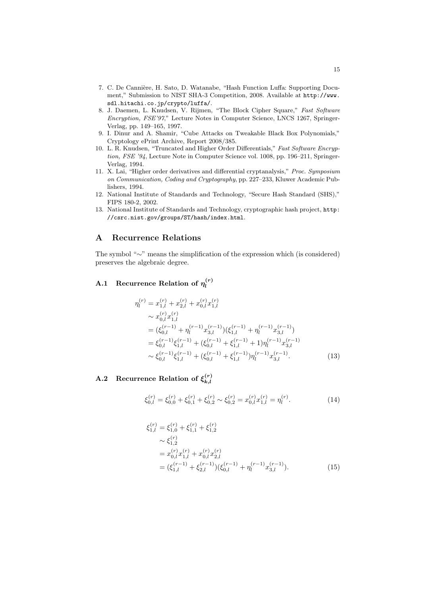- 7. C. De Cannière, H. Sato, D. Watanabe, "Hash Function Luffa: Supporting Document," Submission to NIST SHA-3 Competition, 2008. Available at http://www. sdl.hitachi.co.jp/crypto/luffa/.
- 8. J. Daemen, L. Knudsen, V. Rijmen, "The Block Cipher Square," Fast Software Encryption, FSE'97," Lecture Notes in Computer Science, LNCS 1267, Springer-Verlag, pp. 149–165, 1997.
- 9. I. Dinur and A. Shamir, "Cube Attacks on Tweakable Black Box Polynomials," Cryptology ePrint Archive, Report 2008/385.
- 10. L. R. Knudsen, "Truncated and Higher Order Differentials," Fast Software Encryption, FSE '94, Lecture Note in Computer Science vol. 1008, pp. 196–211, Springer-Verlag, 1994.
- 11. X. Lai, "Higher order derivatives and differential cryptanalysis," Proc. Symposium on Communication, Coding and Cryptography, pp. 227–233, Kluwer Academic Publishers, 1994.
- 12. National Institute of Standards and Technology, "Secure Hash Standard (SHS)," FIPS 180-2, 2002.
- 13. National Institute of Standards and Technology, cryptographic hash project, http: //csrc.nist.gov/groups/ST/hash/index.html.

# A Recurrence Relations

The symbol "∼" means the simplification of the expression which (is considered) preserves the algebraic degree.

#### **A.1** Recurrence Relation of  $\eta_l^{(r)}$ l

$$
\eta_l^{(r)} = x_{1,l}^{(r)} + x_{2,l}^{(r)} + x_{0,l}^{(r)} x_{1,l}^{(r)}
$$
\n
$$
\sim x_{0,l}^{(r)} x_{1,l}^{(r)}
$$
\n
$$
= (\xi_{0,l}^{(r-1)} + \eta_l^{(r-1)} x_{3,l}^{(r-1)}) (\xi_{1,l}^{(r-1)} + \eta_l^{(r-1)} x_{3,l}^{(r-1)})
$$
\n
$$
= \xi_{0,l}^{(r-1)} \xi_{1,l}^{(r-1)} + (\xi_{0,l}^{(r-1)} + \xi_{1,l}^{(r-1)} + 1) \eta_l^{(r-1)} x_{3,l}^{(r-1)}
$$
\n
$$
\sim \xi_{0,l}^{(r-1)} \xi_{1,l}^{(r-1)} + (\xi_{0,l}^{(r-1)} + \xi_{1,l}^{(r-1)}) \eta_l^{(r-1)} x_{3,l}^{(r-1)}.
$$
\n(13)

#### **A.2** Recurrence Relation of  $\xi_{k,l}^{(r)}$  $k, l$

$$
\xi_{0,l}^{(r)} = \xi_{0,0}^{(r)} + \xi_{0,1}^{(r)} + \xi_{0,2}^{(r)} \sim \xi_{0,2}^{(r)} = x_{0,l}^{(r)} x_{1,l}^{(r)} = \eta_l^{(r)}.
$$
\n(14)

$$
\xi_{1,l}^{(r)} = \xi_{1,0}^{(r)} + \xi_{1,1}^{(r)} + \xi_{1,2}^{(r)}
$$
\n
$$
\sim \xi_{1,2}^{(r)}
$$
\n
$$
= x_{0,l}^{(r)} x_{1,l}^{(r)} + x_{0,l}^{(r)} x_{2,l}^{(r)}
$$
\n
$$
= (\xi_{1,l}^{(r-1)} + \xi_{2,l}^{(r-1)}) (\xi_{0,l}^{(r-1)} + \eta_{l}^{(r-1)} x_{3,l}^{(r-1)}).
$$
\n(15)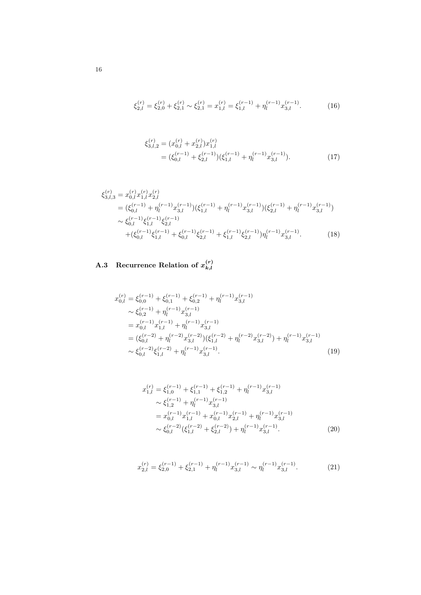$$
\xi_{2,l}^{(r)} = \xi_{2,0}^{(r)} + \xi_{2,1}^{(r)} \sim \xi_{2,1}^{(r)} = x_{1,l}^{(r)} = \xi_{1,l}^{(r-1)} + \eta_l^{(r-1)} x_{3,l}^{(r-1)}.
$$
 (16)

$$
\xi_{3,l,2}^{(r)} = (x_{0,l}^{(r)} + x_{2,l}^{(r)}) x_{1,l}^{(r)}
$$
  
= 
$$
(\xi_{0,l}^{(r-1)} + \xi_{2,l}^{(r-1)}) (\xi_{1,l}^{(r-1)} + \eta_l^{(r-1)} x_{3,l}^{(r-1)}).
$$
 (17)

$$
\xi_{3,l,3}^{(r)} = x_{0,l}^{(r)} x_{1,l}^{(r)} x_{2,l}^{(r)}
$$
\n
$$
= (\xi_{0,l}^{(r-1)} + \eta_l^{(r-1)} x_{3,l}^{(r-1)}) (\xi_{1,l}^{(r-1)} + \eta_l^{(r-1)} x_{3,l}^{(r-1)}) (\xi_{2,l}^{(r-1)} + \eta_l^{(r-1)} x_{3,l}^{(r-1)})
$$
\n
$$
\sim \xi_{0,l}^{(r-1)} \xi_{1,l}^{(r-1)} \xi_{2,l}^{(r-1)}
$$
\n
$$
+ (\xi_{0,l}^{(r-1)} \xi_{1,l}^{(r-1)} + \xi_{0,l}^{(r-1)} \xi_{2,l}^{(r-1)} + \xi_{1,l}^{(r-1)} \xi_{2,l}^{(r-1)}) \eta_l^{(r-1)} x_{3,l}^{(r-1)}.
$$
\n(18)

#### **A.3** Recurrence Relation of  $x_{k,l}^{(r)}$  $_{k,l}$

$$
x_{0,l}^{(r)} = \xi_{0,0}^{(r-1)} + \xi_{0,1}^{(r-1)} + \xi_{0,2}^{(r-1)} + \eta_l^{(r-1)} x_{3,l}^{(r-1)}
$$
  
\n
$$
\sim \xi_{0,2}^{(r-1)} + \eta_l^{(r-1)} x_{3,l}^{(r-1)}
$$
  
\n
$$
= x_{0,l}^{(r-1)} x_{1,l}^{(r-1)} + \eta_l^{(r-1)} x_{3,l}^{(r-1)}
$$
  
\n
$$
= (\xi_{0,l}^{(r-2)} + \eta_l^{(r-2)} x_{3,l}^{(r-2)}) (\xi_{1,l}^{(r-2)} + \eta_l^{(r-2)} x_{3,l}^{(r-2)}) + \eta_l^{(r-1)} x_{3,l}^{(r-1)}
$$
  
\n
$$
\sim \xi_{0,l}^{(r-2)} \xi_{1,l}^{(r-2)} + \eta_l^{(r-1)} x_{3,l}^{(r-1)}.
$$
\n(19)

$$
x_{1,l}^{(r)} = \xi_{1,0}^{(r-1)} + \xi_{1,1}^{(r-1)} + \xi_{1,2}^{(r-1)} + \eta_l^{(r-1)} x_{3,l}^{(r-1)}
$$
  
\n
$$
\sim \xi_{1,2}^{(r-1)} + \eta_l^{(r-1)} x_{3,l}^{(r-1)}
$$
  
\n
$$
= x_{0,l}^{(r-1)} x_{1,l}^{(r-1)} + x_{0,l}^{(r-1)} x_{2,l}^{(r-1)} + \eta_l^{(r-1)} x_{3,l}^{(r-1)}
$$
  
\n
$$
\sim \xi_{0,l}^{(r-2)} (\xi_{1,l}^{(r-2)} + \xi_{2,l}^{(r-2)}) + \eta_l^{(r-1)} x_{3,l}^{(r-1)}.
$$
 (20)

$$
x_{2,l}^{(r)} = \xi_{2,0}^{(r-1)} + \xi_{2,1}^{(r-1)} + \eta_l^{(r-1)} x_{3,l}^{(r-1)} \sim \eta_l^{(r-1)} x_{3,l}^{(r-1)}.
$$
 (21)